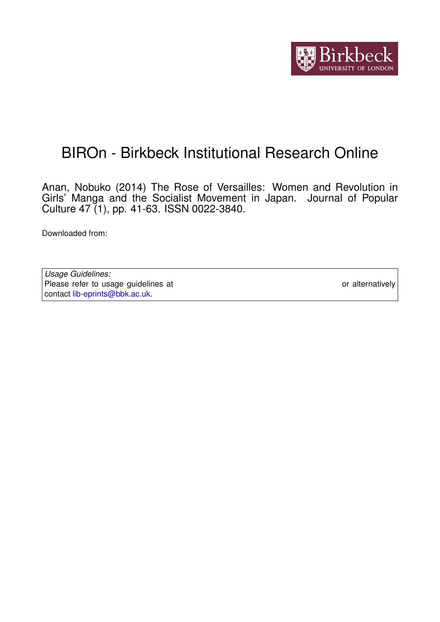

# BIROn - Birkbeck Institutional Research Online

Anan, Nobuko (2014) The Rose of Versailles: Women and Revolution in Girls' Manga and the Socialist Movement in Japan. Journal of Popular Culture 47 (1), pp. 41-63. ISSN 0022-3840.

Downloaded from: <https://eprints.bbk.ac.uk/id/eprint/12324/>

*Usage Guidelines:* Please refer to usage guidelines at <https://eprints.bbk.ac.uk/policies.html> or alternatively contact [lib-eprints@bbk.ac.uk.](mailto:lib-eprints@bbk.ac.uk)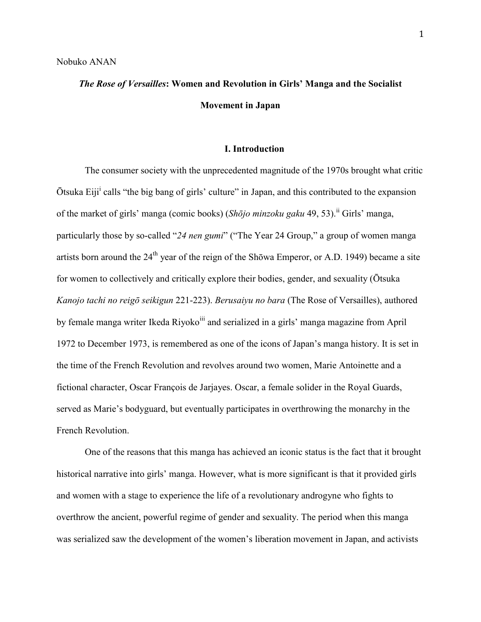## *The Rose of Versailles***: Women and Revolution in Girls' Manga and the Socialist Movement in Japan**

### **I. Introduction**

The consumer society with the unprecedented magnitude of the 1970s brought what critic Otsuka Eiji<sup>i</sup> calls "the big bang of girls' culture" in Japan, and this contributed to the expansion of the market of girls' manga (comic books) (*Shōjo minzoku gaku* 49, 53).ii Girls' manga, particularly those by so-called "*24 nen gumi*" ("The Year 24 Group," a group of women manga artists born around the  $24<sup>th</sup>$  year of the reign of the Shōwa Emperor, or A.D. 1949) became a site for women to collectively and critically explore their bodies, gender, and sexuality (Ōtsuka *Kanojo tachi no reigō seikigun* 221-223). *Berusaiyu no bara* (The Rose of Versailles), authored by female manga writer Ikeda Riyoko<sup>iii</sup> and serialized in a girls' manga magazine from April 1972 to December 1973, is remembered as one of the icons of Japan's manga history. It is set in the time of the French Revolution and revolves around two women, Marie Antoinette and a fictional character, Oscar François de Jarjayes. Oscar, a female solider in the Royal Guards, served as Marie's bodyguard, but eventually participates in overthrowing the monarchy in the French Revolution.

One of the reasons that this manga has achieved an iconic status is the fact that it brought historical narrative into girls' manga. However, what is more significant is that it provided girls and women with a stage to experience the life of a revolutionary androgyne who fights to overthrow the ancient, powerful regime of gender and sexuality. The period when this manga was serialized saw the development of the women's liberation movement in Japan, and activists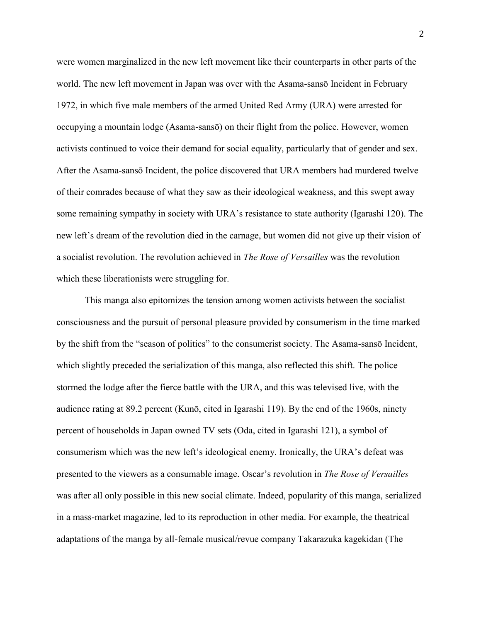were women marginalized in the new left movement like their counterparts in other parts of the world. The new left movement in Japan was over with the Asama-sansō Incident in February 1972, in which five male members of the armed United Red Army (URA) were arrested for occupying a mountain lodge (Asama-sansō) on their flight from the police. However, women activists continued to voice their demand for social equality, particularly that of gender and sex. After the Asama-sansō Incident, the police discovered that URA members had murdered twelve of their comrades because of what they saw as their ideological weakness, and this swept away some remaining sympathy in society with URA's resistance to state authority (Igarashi 120). The new left's dream of the revolution died in the carnage, but women did not give up their vision of a socialist revolution. The revolution achieved in *The Rose of Versailles* was the revolution which these liberationists were struggling for.

This manga also epitomizes the tension among women activists between the socialist consciousness and the pursuit of personal pleasure provided by consumerism in the time marked by the shift from the "season of politics" to the consumerist society. The Asama-sansō Incident, which slightly preceded the serialization of this manga, also reflected this shift. The police stormed the lodge after the fierce battle with the URA, and this was televised live, with the audience rating at 89.2 percent (Kunō, cited in Igarashi 119). By the end of the 1960s, ninety percent of households in Japan owned TV sets (Oda, cited in Igarashi 121), a symbol of consumerism which was the new left's ideological enemy. Ironically, the URA's defeat was presented to the viewers as a consumable image. Oscar's revolution in *The Rose of Versailles* was after all only possible in this new social climate. Indeed, popularity of this manga, serialized in a mass-market magazine, led to its reproduction in other media. For example, the theatrical adaptations of the manga by all-female musical/revue company Takarazuka kagekidan (The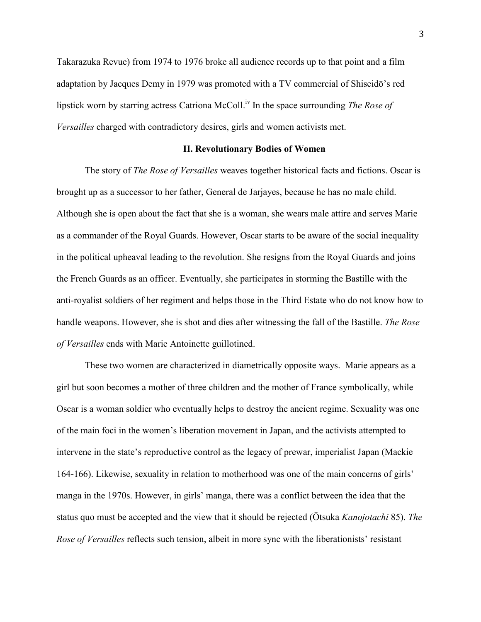Takarazuka Revue) from 1974 to 1976 broke all audience records up to that point and a film adaptation by Jacques Demy in 1979 was promoted with a TV commercial of Shiseidō's red lipstick worn by starring actress Catriona McColl.<sup>iv</sup> In the space surrounding *The Rose of Versailles* charged with contradictory desires, girls and women activists met.

### **II. Revolutionary Bodies of Women**

The story of *The Rose of Versailles* weaves together historical facts and fictions. Oscar is brought up as a successor to her father, General de Jarjayes, because he has no male child. Although she is open about the fact that she is a woman, she wears male attire and serves Marie as a commander of the Royal Guards. However, Oscar starts to be aware of the social inequality in the political upheaval leading to the revolution. She resigns from the Royal Guards and joins the French Guards as an officer. Eventually, she participates in storming the Bastille with the anti-royalist soldiers of her regiment and helps those in the Third Estate who do not know how to handle weapons. However, she is shot and dies after witnessing the fall of the Bastille. *The Rose of Versailles* ends with Marie Antoinette guillotined.

These two women are characterized in diametrically opposite ways. Marie appears as a girl but soon becomes a mother of three children and the mother of France symbolically, while Oscar is a woman soldier who eventually helps to destroy the ancient regime. Sexuality was one of the main foci in the women's liberation movement in Japan, and the activists attempted to intervene in the state's reproductive control as the legacy of prewar, imperialist Japan (Mackie 164-166). Likewise, sexuality in relation to motherhood was one of the main concerns of girls' manga in the 1970s. However, in girls' manga, there was a conflict between the idea that the status quo must be accepted and the view that it should be rejected (Ōtsuka *Kanojotachi* 85). *The Rose of Versailles* reflects such tension, albeit in more sync with the liberationists' resistant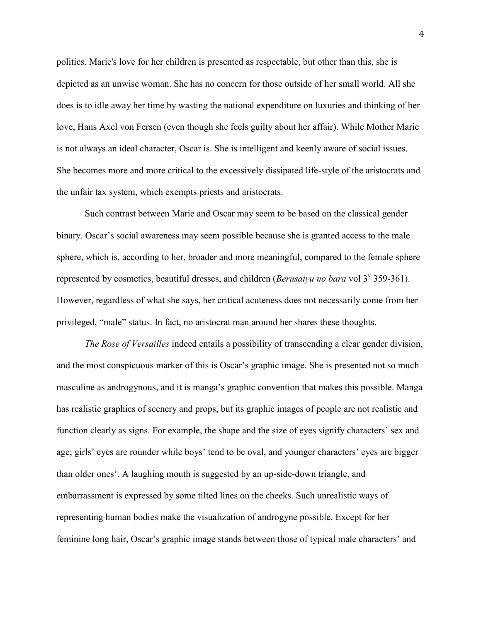politics. Marie's love for her children is presented as respectable, but other than this, she is depicted as an unwise woman. She has no concern for those outside of her small world. All she does is to idle away her time by wasting the national expenditure on luxuries and thinking of her love, Hans Axel von Fersen (even though she feels guilty about her affair). While Mother Marie is not always an ideal character, Oscar is. She is intelligent and keenly aware of social issues. She becomes more and more critical to the excessively dissipated life-style of the aristocrats and the unfair tax system, which exempts priests and aristocrats.

Such contrast between Marie and Oscar may seem to be based on the classical gender binary. Oscar's social awareness may seem possible because she is granted access to the male sphere, which is, according to her, broader and more meaningful, compared to the female sphere represented by cosmetics, beautiful dresses, and children (*Berusaiyu no bara* vol 3<sup>v</sup> 359-361). However, regardless of what she says, her critical acuteness does not necessarily come from her privileged, "male" status. In fact, no aristocrat man around her shares these thoughts.

*The Rose of Versailles* indeed entails a possibility of transcending a clear gender division, and the most conspicuous marker of this is Oscar's graphic image. She is presented not so much masculine as androgynous, and it is manga's graphic convention that makes this possible. Manga has realistic graphics of scenery and props, but its graphic images of people are not realistic and function clearly as signs. For example, the shape and the size of eyes signify characters' sex and age; girls' eyes are rounder while boys' tend to be oval, and younger characters' eyes are bigger than older ones'. A laughing mouth is suggested by an up-side-down triangle, and embarrassment is expressed by some tilted lines on the cheeks. Such unrealistic ways of representing human bodies make the visualization of androgyne possible. Except for her feminine long hair, Oscar's graphic image stands between those of typical male characters' and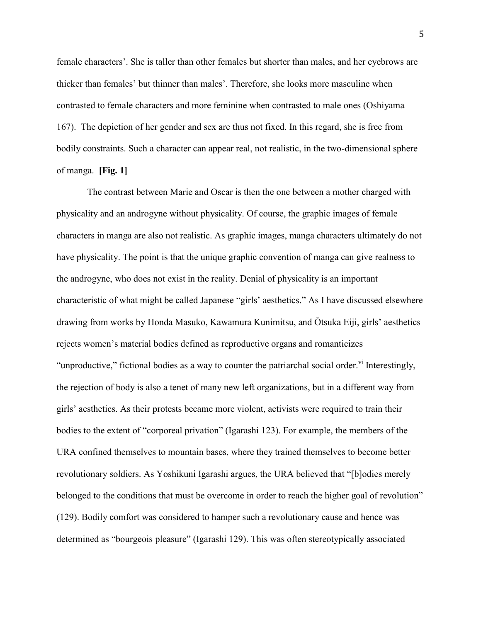female characters'. She is taller than other females but shorter than males, and her eyebrows are thicker than females' but thinner than males'. Therefore, she looks more masculine when contrasted to female characters and more feminine when contrasted to male ones (Oshiyama 167). The depiction of her gender and sex are thus not fixed. In this regard, she is free from bodily constraints. Such a character can appear real, not realistic, in the two-dimensional sphere of manga. **[Fig. 1]**

The contrast between Marie and Oscar is then the one between a mother charged with physicality and an androgyne without physicality. Of course, the graphic images of female characters in manga are also not realistic. As graphic images, manga characters ultimately do not have physicality. The point is that the unique graphic convention of manga can give realness to the androgyne, who does not exist in the reality. Denial of physicality is an important characteristic of what might be called Japanese "girls' aesthetics." As I have discussed elsewhere drawing from works by Honda Masuko, Kawamura Kunimitsu, and Ōtsuka Eiji, girls' aesthetics rejects women's material bodies defined as reproductive organs and romanticizes "unproductive," fictional bodies as a way to counter the patriarchal social order." Interestingly, the rejection of body is also a tenet of many new left organizations, but in a different way from girls' aesthetics. As their protests became more violent, activists were required to train their bodies to the extent of "corporeal privation" (Igarashi 123). For example, the members of the URA confined themselves to mountain bases, where they trained themselves to become better revolutionary soldiers. As Yoshikuni Igarashi argues, the URA believed that "[b]odies merely belonged to the conditions that must be overcome in order to reach the higher goal of revolution" (129). Bodily comfort was considered to hamper such a revolutionary cause and hence was determined as "bourgeois pleasure" (Igarashi 129). This was often stereotypically associated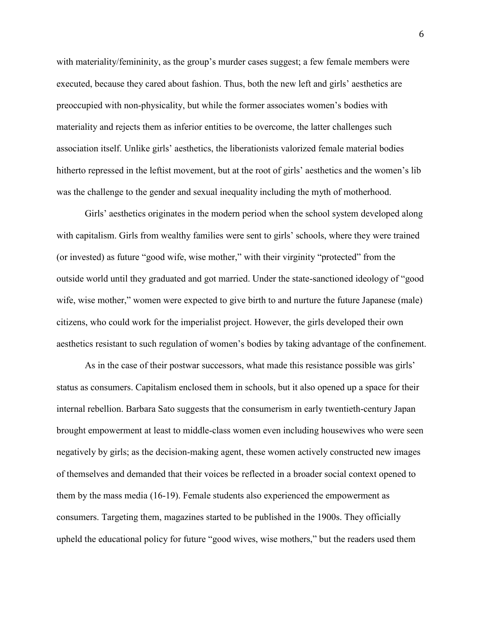with materiality/femininity, as the group's murder cases suggest; a few female members were executed, because they cared about fashion. Thus, both the new left and girls' aesthetics are preoccupied with non-physicality, but while the former associates women's bodies with materiality and rejects them as inferior entities to be overcome, the latter challenges such association itself. Unlike girls' aesthetics, the liberationists valorized female material bodies hitherto repressed in the leftist movement, but at the root of girls' aesthetics and the women's lib was the challenge to the gender and sexual inequality including the myth of motherhood.

Girls' aesthetics originates in the modern period when the school system developed along with capitalism. Girls from wealthy families were sent to girls' schools, where they were trained (or invested) as future "good wife, wise mother," with their virginity "protected" from the outside world until they graduated and got married. Under the state-sanctioned ideology of "good wife, wise mother," women were expected to give birth to and nurture the future Japanese (male) citizens, who could work for the imperialist project. However, the girls developed their own aesthetics resistant to such regulation of women's bodies by taking advantage of the confinement.

As in the case of their postwar successors, what made this resistance possible was girls' status as consumers. Capitalism enclosed them in schools, but it also opened up a space for their internal rebellion. Barbara Sato suggests that the consumerism in early twentieth-century Japan brought empowerment at least to middle-class women even including housewives who were seen negatively by girls; as the decision-making agent, these women actively constructed new images of themselves and demanded that their voices be reflected in a broader social context opened to them by the mass media (16-19). Female students also experienced the empowerment as consumers. Targeting them, magazines started to be published in the 1900s. They officially upheld the educational policy for future "good wives, wise mothers," but the readers used them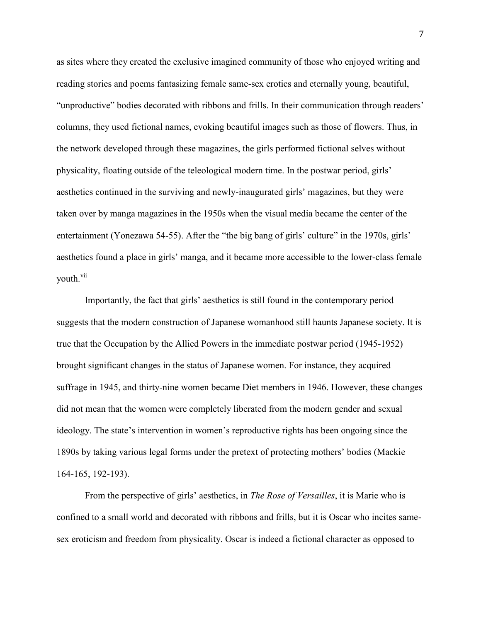as sites where they created the exclusive imagined community of those who enjoyed writing and reading stories and poems fantasizing female same-sex erotics and eternally young, beautiful, "unproductive" bodies decorated with ribbons and frills. In their communication through readers' columns, they used fictional names, evoking beautiful images such as those of flowers. Thus, in the network developed through these magazines, the girls performed fictional selves without physicality, floating outside of the teleological modern time. In the postwar period, girls' aesthetics continued in the surviving and newly-inaugurated girls' magazines, but they were taken over by manga magazines in the 1950s when the visual media became the center of the entertainment (Yonezawa 54-55). After the "the big bang of girls' culture" in the 1970s, girls' aesthetics found a place in girls' manga, and it became more accessible to the lower-class female vouth.<sup>vii</sup>

Importantly, the fact that girls' aesthetics is still found in the contemporary period suggests that the modern construction of Japanese womanhood still haunts Japanese society. It is true that the Occupation by the Allied Powers in the immediate postwar period (1945-1952) brought significant changes in the status of Japanese women. For instance, they acquired suffrage in 1945, and thirty-nine women became Diet members in 1946. However, these changes did not mean that the women were completely liberated from the modern gender and sexual ideology. The state's intervention in women's reproductive rights has been ongoing since the 1890s by taking various legal forms under the pretext of protecting mothers' bodies (Mackie 164-165, 192-193).

From the perspective of girls' aesthetics, in *The Rose of Versailles*, it is Marie who is confined to a small world and decorated with ribbons and frills, but it is Oscar who incites samesex eroticism and freedom from physicality. Oscar is indeed a fictional character as opposed to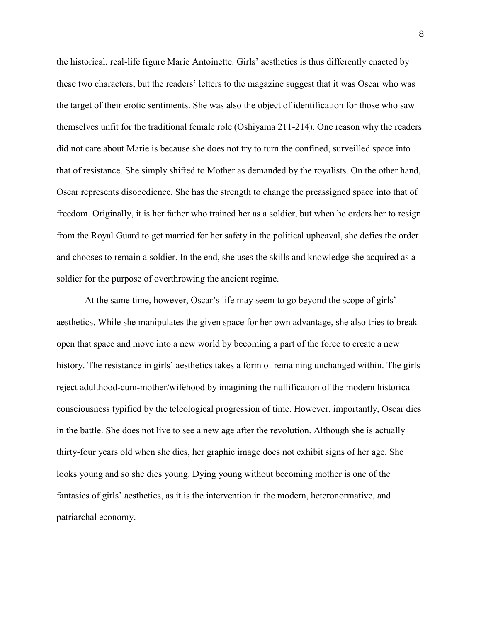the historical, real-life figure Marie Antoinette. Girls' aesthetics is thus differently enacted by these two characters, but the readers' letters to the magazine suggest that it was Oscar who was the target of their erotic sentiments. She was also the object of identification for those who saw themselves unfit for the traditional female role (Oshiyama 211-214). One reason why the readers did not care about Marie is because she does not try to turn the confined, surveilled space into that of resistance. She simply shifted to Mother as demanded by the royalists. On the other hand, Oscar represents disobedience. She has the strength to change the preassigned space into that of freedom. Originally, it is her father who trained her as a soldier, but when he orders her to resign from the Royal Guard to get married for her safety in the political upheaval, she defies the order and chooses to remain a soldier. In the end, she uses the skills and knowledge she acquired as a soldier for the purpose of overthrowing the ancient regime.

At the same time, however, Oscar's life may seem to go beyond the scope of girls' aesthetics. While she manipulates the given space for her own advantage, she also tries to break open that space and move into a new world by becoming a part of the force to create a new history. The resistance in girls' aesthetics takes a form of remaining unchanged within. The girls reject adulthood-cum-mother/wifehood by imagining the nullification of the modern historical consciousness typified by the teleological progression of time. However, importantly, Oscar dies in the battle. She does not live to see a new age after the revolution. Although she is actually thirty-four years old when she dies, her graphic image does not exhibit signs of her age. She looks young and so she dies young. Dying young without becoming mother is one of the fantasies of girls' aesthetics, as it is the intervention in the modern, heteronormative, and patriarchal economy.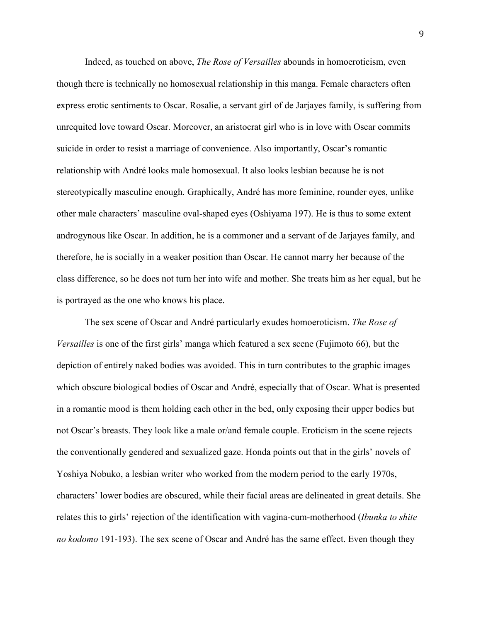Indeed, as touched on above, *The Rose of Versailles* abounds in homoeroticism, even though there is technically no homosexual relationship in this manga. Female characters often express erotic sentiments to Oscar. Rosalie, a servant girl of de Jarjayes family, is suffering from unrequited love toward Oscar. Moreover, an aristocrat girl who is in love with Oscar commits suicide in order to resist a marriage of convenience. Also importantly, Oscar's romantic relationship with André looks male homosexual. It also looks lesbian because he is not stereotypically masculine enough. Graphically, André has more feminine, rounder eyes, unlike other male characters' masculine oval-shaped eyes (Oshiyama 197). He is thus to some extent androgynous like Oscar. In addition, he is a commoner and a servant of de Jarjayes family, and therefore, he is socially in a weaker position than Oscar. He cannot marry her because of the class difference, so he does not turn her into wife and mother. She treats him as her equal, but he is portrayed as the one who knows his place.

The sex scene of Oscar and André particularly exudes homoeroticism. *The Rose of Versailles* is one of the first girls' manga which featured a sex scene (Fujimoto 66), but the depiction of entirely naked bodies was avoided. This in turn contributes to the graphic images which obscure biological bodies of Oscar and André, especially that of Oscar. What is presented in a romantic mood is them holding each other in the bed, only exposing their upper bodies but not Oscar's breasts. They look like a male or/and female couple. Eroticism in the scene rejects the conventionally gendered and sexualized gaze. Honda points out that in the girls' novels of Yoshiya Nobuko, a lesbian writer who worked from the modern period to the early 1970s, characters' lower bodies are obscured, while their facial areas are delineated in great details. She relates this to girls' rejection of the identification with vagina-cum-motherhood (*Ibunka to shite no kodomo* 191-193). The sex scene of Oscar and André has the same effect. Even though they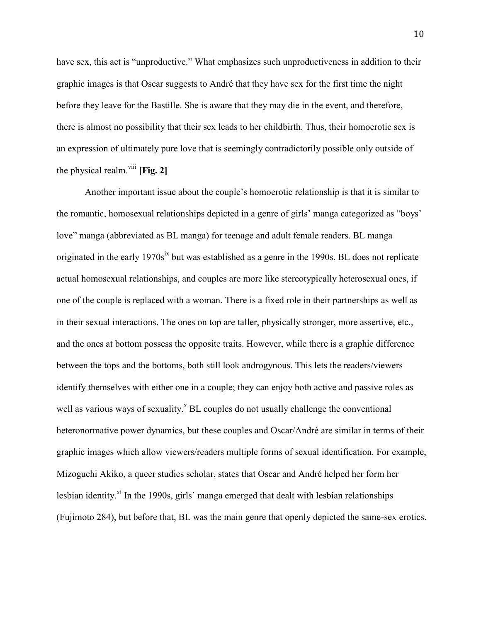have sex, this act is "unproductive." What emphasizes such unproductiveness in addition to their graphic images is that Oscar suggests to André that they have sex for the first time the night before they leave for the Bastille. She is aware that they may die in the event, and therefore, there is almost no possibility that their sex leads to her childbirth. Thus, their homoerotic sex is an expression of ultimately pure love that is seemingly contradictorily possible only outside of the physical realm.<sup>viii</sup> [Fig. 2]

Another important issue about the couple's homoerotic relationship is that it is similar to the romantic, homosexual relationships depicted in a genre of girls' manga categorized as "boys' love" manga (abbreviated as BL manga) for teenage and adult female readers. BL manga originated in the early 1970s<sup>ix</sup> but was established as a genre in the 1990s. BL does not replicate actual homosexual relationships, and couples are more like stereotypically heterosexual ones, if one of the couple is replaced with a woman. There is a fixed role in their partnerships as well as in their sexual interactions. The ones on top are taller, physically stronger, more assertive, etc., and the ones at bottom possess the opposite traits. However, while there is a graphic difference between the tops and the bottoms, both still look androgynous. This lets the readers/viewers identify themselves with either one in a couple; they can enjoy both active and passive roles as well as various ways of sexuality.<sup>x</sup> BL couples do not usually challenge the conventional heteronormative power dynamics, but these couples and Oscar/André are similar in terms of their graphic images which allow viewers/readers multiple forms of sexual identification. For example, Mizoguchi Akiko, a queer studies scholar, states that Oscar and André helped her form her lesbian identity. $x_i$  In the 1990s, girls' manga emerged that dealt with lesbian relationships (Fujimoto 284), but before that, BL was the main genre that openly depicted the same-sex erotics.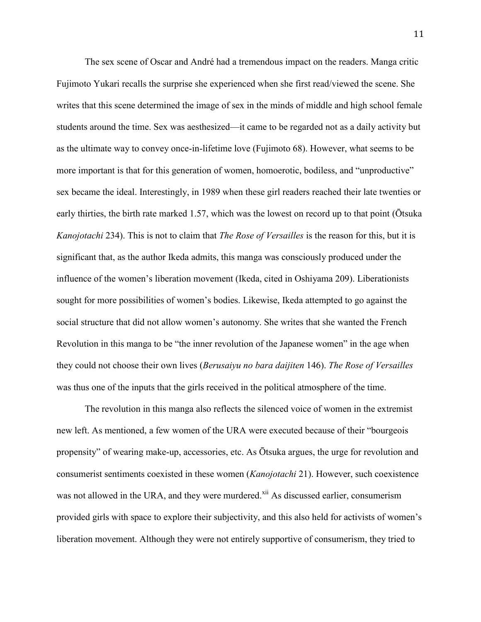The sex scene of Oscar and André had a tremendous impact on the readers. Manga critic Fujimoto Yukari recalls the surprise she experienced when she first read/viewed the scene. She writes that this scene determined the image of sex in the minds of middle and high school female students around the time. Sex was aesthesized—it came to be regarded not as a daily activity but as the ultimate way to convey once-in-lifetime love (Fujimoto 68). However, what seems to be more important is that for this generation of women, homoerotic, bodiless, and "unproductive" sex became the ideal. Interestingly, in 1989 when these girl readers reached their late twenties or early thirties, the birth rate marked 1.57, which was the lowest on record up to that point (Ōtsuka *Kanojotachi* 234). This is not to claim that *The Rose of Versailles* is the reason for this, but it is significant that, as the author Ikeda admits, this manga was consciously produced under the influence of the women's liberation movement (Ikeda, cited in Oshiyama 209). Liberationists sought for more possibilities of women's bodies. Likewise, Ikeda attempted to go against the social structure that did not allow women's autonomy. She writes that she wanted the French Revolution in this manga to be "the inner revolution of the Japanese women" in the age when they could not choose their own lives (*Berusaiyu no bara daijiten* 146). *The Rose of Versailles* was thus one of the inputs that the girls received in the political atmosphere of the time.

The revolution in this manga also reflects the silenced voice of women in the extremist new left. As mentioned, a few women of the URA were executed because of their "bourgeois propensity" of wearing make-up, accessories, etc. As Ōtsuka argues, the urge for revolution and consumerist sentiments coexisted in these women (*Kanojotachi* 21). However, such coexistence was not allowed in the URA, and they were murdered.<sup>xii</sup> As discussed earlier, consumerism provided girls with space to explore their subjectivity, and this also held for activists of women's liberation movement. Although they were not entirely supportive of consumerism, they tried to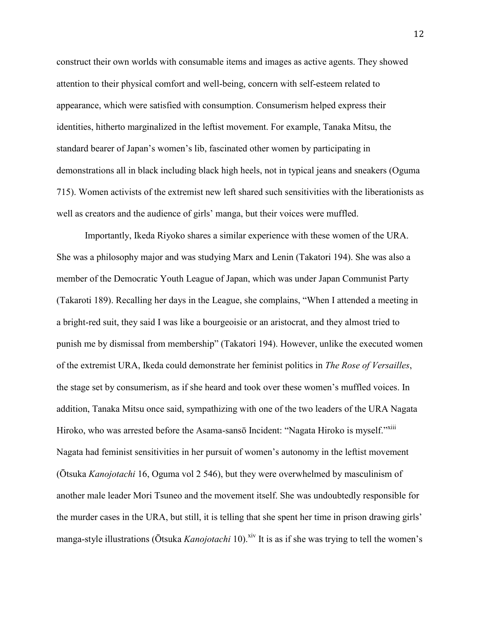construct their own worlds with consumable items and images as active agents. They showed attention to their physical comfort and well-being, concern with self-esteem related to appearance, which were satisfied with consumption. Consumerism helped express their identities, hitherto marginalized in the leftist movement. For example, Tanaka Mitsu, the standard bearer of Japan's women's lib, fascinated other women by participating in demonstrations all in black including black high heels, not in typical jeans and sneakers (Oguma 715). Women activists of the extremist new left shared such sensitivities with the liberationists as well as creators and the audience of girls' manga, but their voices were muffled.

Importantly, Ikeda Riyoko shares a similar experience with these women of the URA. She was a philosophy major and was studying Marx and Lenin (Takatori 194). She was also a member of the Democratic Youth League of Japan, which was under Japan Communist Party (Takaroti 189). Recalling her days in the League, she complains, "When I attended a meeting in a bright-red suit, they said I was like a bourgeoisie or an aristocrat, and they almost tried to punish me by dismissal from membership" (Takatori 194). However, unlike the executed women of the extremist URA, Ikeda could demonstrate her feminist politics in *The Rose of Versailles*, the stage set by consumerism, as if she heard and took over these women's muffled voices. In addition, Tanaka Mitsu once said, sympathizing with one of the two leaders of the URA Nagata Hiroko, who was arrested before the Asama-sansō Incident: "Nagata Hiroko is myself."<sup>XIII</sup> Nagata had feminist sensitivities in her pursuit of women's autonomy in the leftist movement (Ōtsuka *Kanojotachi* 16, Oguma vol 2 546), but they were overwhelmed by masculinism of another male leader Mori Tsuneo and the movement itself. She was undoubtedly responsible for the murder cases in the URA, but still, it is telling that she spent her time in prison drawing girls' manga-style illustrations (Ōtsuka *Kanojotachi* 10). xiv It is as if she was trying to tell the women's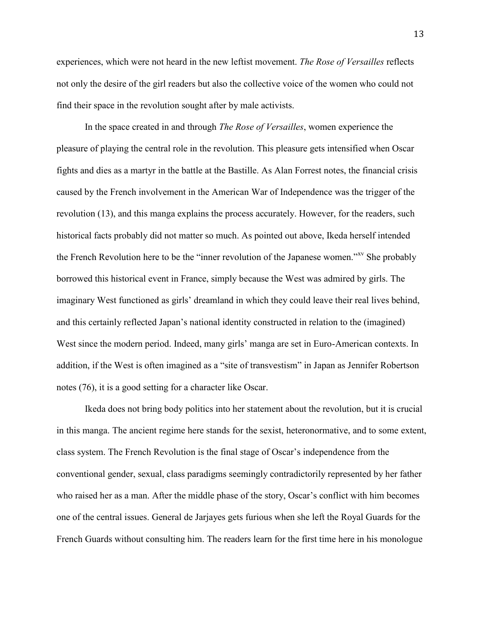experiences, which were not heard in the new leftist movement. *The Rose of Versailles* reflects not only the desire of the girl readers but also the collective voice of the women who could not find their space in the revolution sought after by male activists.

In the space created in and through *The Rose of Versailles*, women experience the pleasure of playing the central role in the revolution. This pleasure gets intensified when Oscar fights and dies as a martyr in the battle at the Bastille. As Alan Forrest notes, the financial crisis caused by the French involvement in the American War of Independence was the trigger of the revolution (13), and this manga explains the process accurately. However, for the readers, such historical facts probably did not matter so much. As pointed out above, Ikeda herself intended the French Revolution here to be the "inner revolution of the Japanese women."xv She probably borrowed this historical event in France, simply because the West was admired by girls. The imaginary West functioned as girls' dreamland in which they could leave their real lives behind, and this certainly reflected Japan's national identity constructed in relation to the (imagined) West since the modern period. Indeed, many girls' manga are set in Euro-American contexts. In addition, if the West is often imagined as a "site of transvestism" in Japan as Jennifer Robertson notes (76), it is a good setting for a character like Oscar.

Ikeda does not bring body politics into her statement about the revolution, but it is crucial in this manga. The ancient regime here stands for the sexist, heteronormative, and to some extent, class system. The French Revolution is the final stage of Oscar's independence from the conventional gender, sexual, class paradigms seemingly contradictorily represented by her father who raised her as a man. After the middle phase of the story, Oscar's conflict with him becomes one of the central issues. General de Jarjayes gets furious when she left the Royal Guards for the French Guards without consulting him. The readers learn for the first time here in his monologue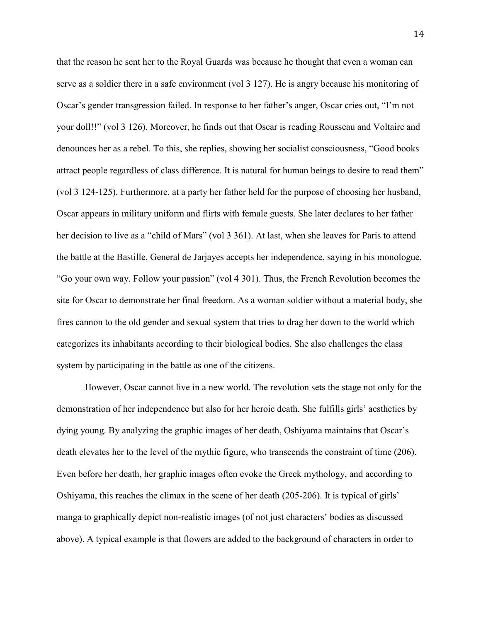that the reason he sent her to the Royal Guards was because he thought that even a woman can serve as a soldier there in a safe environment (vol 3 127). He is angry because his monitoring of Oscar's gender transgression failed. In response to her father's anger, Oscar cries out, "I'm not your doll!!" (vol 3 126). Moreover, he finds out that Oscar is reading Rousseau and Voltaire and denounces her as a rebel. To this, she replies, showing her socialist consciousness, "Good books attract people regardless of class difference. It is natural for human beings to desire to read them" (vol 3 124-125). Furthermore, at a party her father held for the purpose of choosing her husband, Oscar appears in military uniform and flirts with female guests. She later declares to her father her decision to live as a "child of Mars" (vol 3 361). At last, when she leaves for Paris to attend the battle at the Bastille, General de Jarjayes accepts her independence, saying in his monologue, "Go your own way. Follow your passion" (vol 4 301). Thus, the French Revolution becomes the site for Oscar to demonstrate her final freedom. As a woman soldier without a material body, she fires cannon to the old gender and sexual system that tries to drag her down to the world which categorizes its inhabitants according to their biological bodies. She also challenges the class system by participating in the battle as one of the citizens.

However, Oscar cannot live in a new world. The revolution sets the stage not only for the demonstration of her independence but also for her heroic death. She fulfills girls' aesthetics by dying young. By analyzing the graphic images of her death, Oshiyama maintains that Oscar's death elevates her to the level of the mythic figure, who transcends the constraint of time (206). Even before her death, her graphic images often evoke the Greek mythology, and according to Oshiyama, this reaches the climax in the scene of her death (205-206). It is typical of girls' manga to graphically depict non-realistic images (of not just characters' bodies as discussed above). A typical example is that flowers are added to the background of characters in order to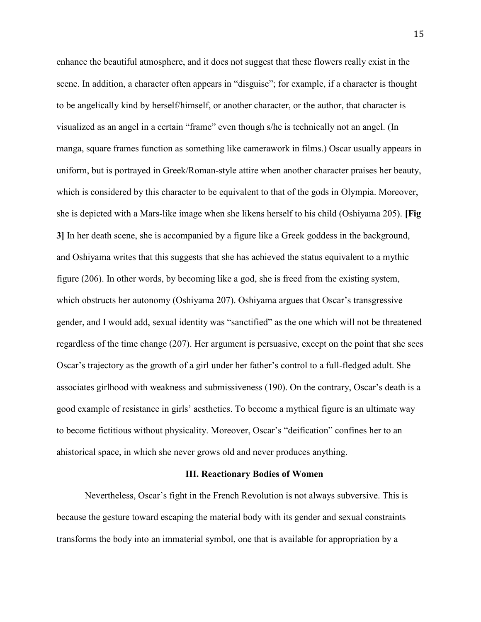enhance the beautiful atmosphere, and it does not suggest that these flowers really exist in the scene. In addition, a character often appears in "disguise"; for example, if a character is thought to be angelically kind by herself/himself, or another character, or the author, that character is visualized as an angel in a certain "frame" even though s/he is technically not an angel. (In manga, square frames function as something like camerawork in films.) Oscar usually appears in uniform, but is portrayed in Greek/Roman-style attire when another character praises her beauty, which is considered by this character to be equivalent to that of the gods in Olympia. Moreover, she is depicted with a Mars-like image when she likens herself to his child (Oshiyama 205). **[Fig 3]** In her death scene, she is accompanied by a figure like a Greek goddess in the background, and Oshiyama writes that this suggests that she has achieved the status equivalent to a mythic figure (206). In other words, by becoming like a god, she is freed from the existing system, which obstructs her autonomy (Oshiyama 207). Oshiyama argues that Oscar's transgressive gender, and I would add, sexual identity was "sanctified" as the one which will not be threatened regardless of the time change (207). Her argument is persuasive, except on the point that she sees Oscar's trajectory as the growth of a girl under her father's control to a full-fledged adult. She associates girlhood with weakness and submissiveness (190). On the contrary, Oscar's death is a good example of resistance in girls' aesthetics. To become a mythical figure is an ultimate way to become fictitious without physicality. Moreover, Oscar's "deification" confines her to an ahistorical space, in which she never grows old and never produces anything.

#### **III. Reactionary Bodies of Women**

Nevertheless, Oscar's fight in the French Revolution is not always subversive. This is because the gesture toward escaping the material body with its gender and sexual constraints transforms the body into an immaterial symbol, one that is available for appropriation by a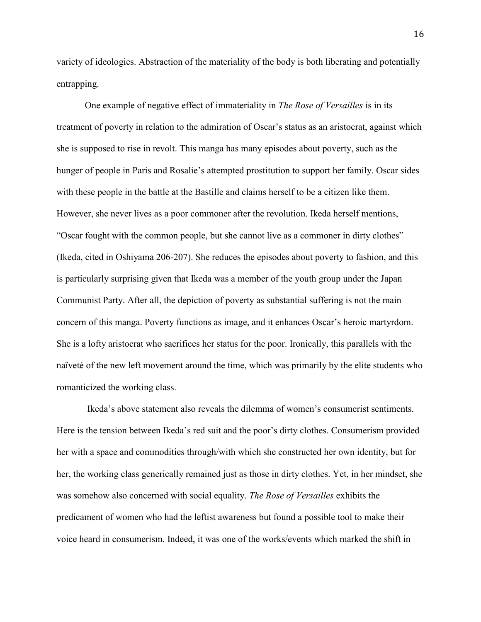variety of ideologies. Abstraction of the materiality of the body is both liberating and potentially entrapping.

One example of negative effect of immateriality in *The Rose of Versailles* is in its treatment of poverty in relation to the admiration of Oscar's status as an aristocrat, against which she is supposed to rise in revolt. This manga has many episodes about poverty, such as the hunger of people in Paris and Rosalie's attempted prostitution to support her family. Oscar sides with these people in the battle at the Bastille and claims herself to be a citizen like them. However, she never lives as a poor commoner after the revolution. Ikeda herself mentions, "Oscar fought with the common people, but she cannot live as a commoner in dirty clothes" (Ikeda, cited in Oshiyama 206-207). She reduces the episodes about poverty to fashion, and this is particularly surprising given that Ikeda was a member of the youth group under the Japan Communist Party. After all, the depiction of poverty as substantial suffering is not the main concern of this manga. Poverty functions as image, and it enhances Oscar's heroic martyrdom. She is a lofty aristocrat who sacrifices her status for the poor. Ironically, this parallels with the naïveté of the new left movement around the time, which was primarily by the elite students who romanticized the working class.

Ikeda's above statement also reveals the dilemma of women's consumerist sentiments. Here is the tension between Ikeda's red suit and the poor's dirty clothes. Consumerism provided her with a space and commodities through/with which she constructed her own identity, but for her, the working class generically remained just as those in dirty clothes. Yet, in her mindset, she was somehow also concerned with social equality. *The Rose of Versailles* exhibits the predicament of women who had the leftist awareness but found a possible tool to make their voice heard in consumerism. Indeed, it was one of the works/events which marked the shift in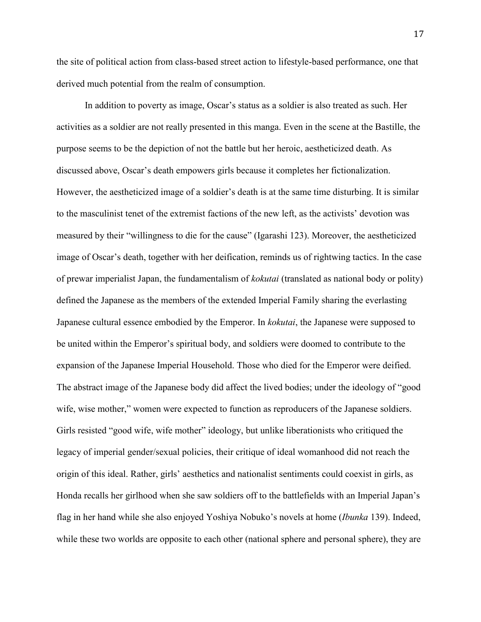the site of political action from class-based street action to lifestyle-based performance, one that derived much potential from the realm of consumption.

In addition to poverty as image, Oscar's status as a soldier is also treated as such. Her activities as a soldier are not really presented in this manga. Even in the scene at the Bastille, the purpose seems to be the depiction of not the battle but her heroic, aestheticized death. As discussed above, Oscar's death empowers girls because it completes her fictionalization. However, the aestheticized image of a soldier's death is at the same time disturbing. It is similar to the masculinist tenet of the extremist factions of the new left, as the activists' devotion was measured by their "willingness to die for the cause" (Igarashi 123). Moreover, the aestheticized image of Oscar's death, together with her deification, reminds us of rightwing tactics. In the case of prewar imperialist Japan, the fundamentalism of *kokutai* (translated as national body or polity) defined the Japanese as the members of the extended Imperial Family sharing the everlasting Japanese cultural essence embodied by the Emperor. In *kokutai*, the Japanese were supposed to be united within the Emperor's spiritual body, and soldiers were doomed to contribute to the expansion of the Japanese Imperial Household. Those who died for the Emperor were deified. The abstract image of the Japanese body did affect the lived bodies; under the ideology of "good wife, wise mother," women were expected to function as reproducers of the Japanese soldiers. Girls resisted "good wife, wife mother" ideology, but unlike liberationists who critiqued the legacy of imperial gender/sexual policies, their critique of ideal womanhood did not reach the origin of this ideal. Rather, girls' aesthetics and nationalist sentiments could coexist in girls, as Honda recalls her girlhood when she saw soldiers off to the battlefields with an Imperial Japan's flag in her hand while she also enjoyed Yoshiya Nobuko's novels at home (*Ibunka* 139). Indeed, while these two worlds are opposite to each other (national sphere and personal sphere), they are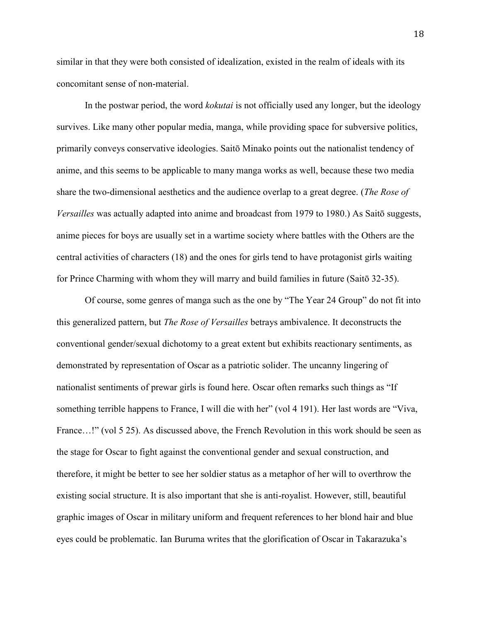similar in that they were both consisted of idealization, existed in the realm of ideals with its concomitant sense of non-material.

In the postwar period, the word *kokutai* is not officially used any longer, but the ideology survives. Like many other popular media, manga, while providing space for subversive politics, primarily conveys conservative ideologies. Saitō Minako points out the nationalist tendency of anime, and this seems to be applicable to many manga works as well, because these two media share the two-dimensional aesthetics and the audience overlap to a great degree. (*The Rose of Versailles* was actually adapted into anime and broadcast from 1979 to 1980.) As Saitō suggests, anime pieces for boys are usually set in a wartime society where battles with the Others are the central activities of characters (18) and the ones for girls tend to have protagonist girls waiting for Prince Charming with whom they will marry and build families in future (Saitō 32-35).

Of course, some genres of manga such as the one by "The Year 24 Group" do not fit into this generalized pattern, but *The Rose of Versailles* betrays ambivalence. It deconstructs the conventional gender/sexual dichotomy to a great extent but exhibits reactionary sentiments, as demonstrated by representation of Oscar as a patriotic solider. The uncanny lingering of nationalist sentiments of prewar girls is found here. Oscar often remarks such things as "If something terrible happens to France, I will die with her" (vol 4 191). Her last words are "Viva, France...!" (vol 5 25). As discussed above, the French Revolution in this work should be seen as the stage for Oscar to fight against the conventional gender and sexual construction, and therefore, it might be better to see her soldier status as a metaphor of her will to overthrow the existing social structure. It is also important that she is anti-royalist. However, still, beautiful graphic images of Oscar in military uniform and frequent references to her blond hair and blue eyes could be problematic. Ian Buruma writes that the glorification of Oscar in Takarazuka's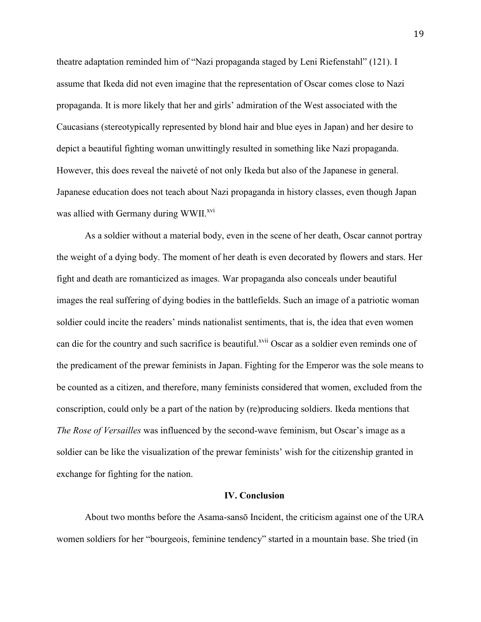theatre adaptation reminded him of "Nazi propaganda staged by Leni Riefenstahl" (121). I assume that Ikeda did not even imagine that the representation of Oscar comes close to Nazi propaganda. It is more likely that her and girls' admiration of the West associated with the Caucasians (stereotypically represented by blond hair and blue eyes in Japan) and her desire to depict a beautiful fighting woman unwittingly resulted in something like Nazi propaganda. However, this does reveal the naiveté of not only Ikeda but also of the Japanese in general. Japanese education does not teach about Nazi propaganda in history classes, even though Japan was allied with Germany during WWII.<sup>xvi</sup>

As a soldier without a material body, even in the scene of her death, Oscar cannot portray the weight of a dying body. The moment of her death is even decorated by flowers and stars. Her fight and death are romanticized as images. War propaganda also conceals under beautiful images the real suffering of dying bodies in the battlefields. Such an image of a patriotic woman soldier could incite the readers' minds nationalist sentiments, that is, the idea that even women can die for the country and such sacrifice is beautiful.<sup>xvii</sup> Oscar as a soldier even reminds one of the predicament of the prewar feminists in Japan. Fighting for the Emperor was the sole means to be counted as a citizen, and therefore, many feminists considered that women, excluded from the conscription, could only be a part of the nation by (re)producing soldiers. Ikeda mentions that *The Rose of Versailles* was influenced by the second-wave feminism, but Oscar's image as a soldier can be like the visualization of the prewar feminists' wish for the citizenship granted in exchange for fighting for the nation.

#### **IV. Conclusion**

About two months before the Asama-sansō Incident, the criticism against one of the URA women soldiers for her "bourgeois, feminine tendency" started in a mountain base. She tried (in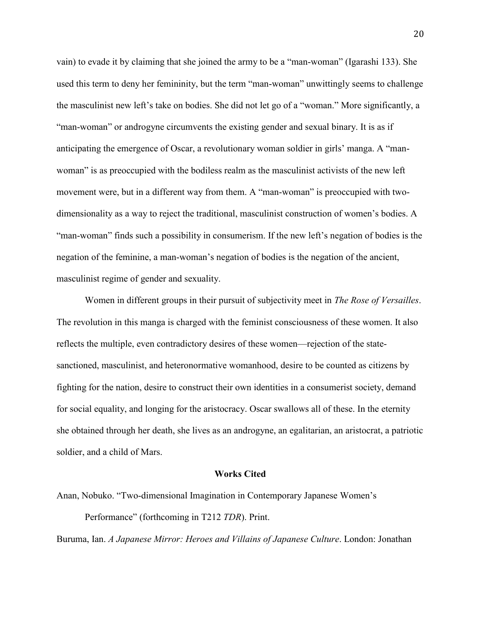vain) to evade it by claiming that she joined the army to be a "man-woman" (Igarashi 133). She used this term to deny her femininity, but the term "man-woman" unwittingly seems to challenge the masculinist new left's take on bodies. She did not let go of a "woman." More significantly, a "man-woman" or androgyne circumvents the existing gender and sexual binary. It is as if anticipating the emergence of Oscar, a revolutionary woman soldier in girls' manga. A "manwoman" is as preoccupied with the bodiless realm as the masculinist activists of the new left movement were, but in a different way from them. A "man-woman" is preoccupied with twodimensionality as a way to reject the traditional, masculinist construction of women's bodies. A "man-woman" finds such a possibility in consumerism. If the new left's negation of bodies is the negation of the feminine, a man-woman's negation of bodies is the negation of the ancient, masculinist regime of gender and sexuality.

Women in different groups in their pursuit of subjectivity meet in *The Rose of Versailles*. The revolution in this manga is charged with the feminist consciousness of these women. It also reflects the multiple, even contradictory desires of these women—rejection of the statesanctioned, masculinist, and heteronormative womanhood, desire to be counted as citizens by fighting for the nation, desire to construct their own identities in a consumerist society, demand for social equality, and longing for the aristocracy. Oscar swallows all of these. In the eternity she obtained through her death, she lives as an androgyne, an egalitarian, an aristocrat, a patriotic soldier, and a child of Mars.

#### **Works Cited**

Anan, Nobuko. "Two-dimensional Imagination in Contemporary Japanese Women's

Performance" (forthcoming in T212 *TDR*). Print.

Buruma, Ian. *A Japanese Mirror: Heroes and Villains of Japanese Culture*. London: Jonathan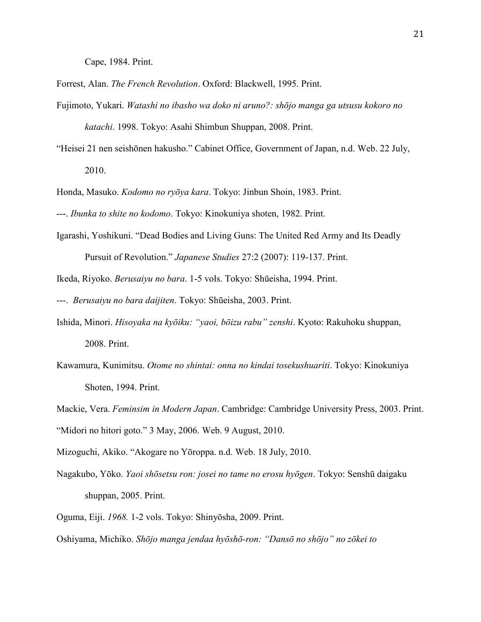Cape, 1984. Print.

Forrest, Alan. *The French Revolution*. Oxford: Blackwell, 1995. Print.

- Fujimoto, Yukari. *Watashi no ibasho wa doko ni aruno?: shōjo manga ga utsusu kokoro no katachi*. 1998. Tokyo: Asahi Shimbun Shuppan, 2008. Print.
- "Heisei 21 nen seishōnen hakusho." Cabinet Office, Government of Japan, n.d. Web. 22 July, 2010.

Honda, Masuko. *Kodomo no ryōya kara*. Tokyo: Jinbun Shoin, 1983. Print.

---. *Ibunka to shite no kodomo*. Tokyo: Kinokuniya shoten, 1982. Print.

Igarashi, Yoshikuni. "Dead Bodies and Living Guns: The United Red Army and Its Deadly Pursuit of Revolution." *Japanese Studies* 27:2 (2007): 119-137. Print.

Ikeda, Riyoko. *Berusaiyu no bara*. 1-5 vols. Tokyo: Shūeisha, 1994. Print.

---. *Berusaiyu no bara daijiten*. Tokyo: Shūeisha, 2003. Print.

- Ishida, Minori. *Hisoyaka na kyōiku: "yaoi, bōizu rabu" zenshi*. Kyoto: Rakuhoku shuppan, 2008. Print.
- Kawamura, Kunimitsu. *Otome no shintai: onna no kindai tosekushuariti*. Tokyo: Kinokuniya Shoten, 1994. Print.
- Mackie, Vera. *Feminsim in Modern Japan*. Cambridge: Cambridge University Press, 2003. Print. "Midori no hitori goto." 3 May, 2006. Web. 9 August, 2010.
- Mizoguchi, Akiko. "Akogare no Yōroppa. n.d. Web. 18 July, 2010.
- Nagakubo, Yōko. *Yaoi shōsetsu ron: josei no tame no erosu hyōgen*. Tokyo: Senshū daigaku shuppan, 2005. Print.
- Oguma, Eiji. *1968.* 1-2 vols. Tokyo: Shinyōsha, 2009. Print.

Oshiyama, Michiko. *Shōjo manga jendaa hyōshō-ron: "Dansō no shōjo" no zōkei to*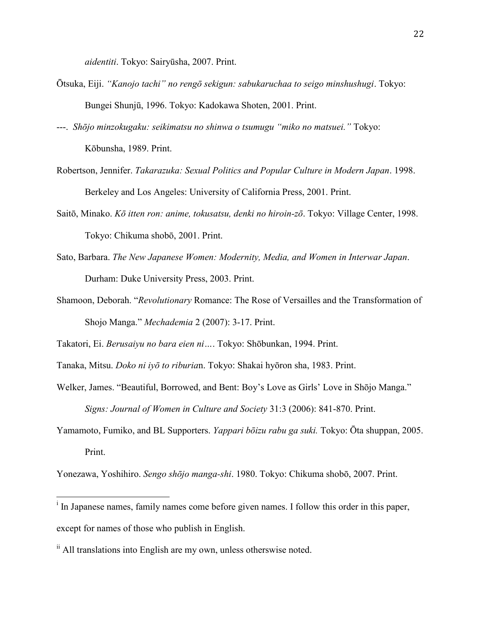*aidentiti*. Tokyo: Sairyūsha, 2007. Print.

- Ōtsuka, Eiji. *"Kanojo tachi" no rengō sekigun: sabukaruchaa to seigo minshushugi*. Tokyo: Bungei Shunjū, 1996. Tokyo: Kadokawa Shoten, 2001. Print.
- ---. *Shōjo minzokugaku: seikimatsu no shinwa o tsumugu "miko no matsuei."* Tokyo: Kōbunsha, 1989. Print.
- Robertson, Jennifer. *Takarazuka: Sexual Politics and Popular Culture in Modern Japan*. 1998. Berkeley and Los Angeles: University of California Press, 2001. Print.
- Saitō, Minako. *Kō itten ron: anime, tokusatsu, denki no hiroin-zō*. Tokyo: Village Center, 1998. Tokyo: Chikuma shobō, 2001. Print.
- Sato, Barbara. *The New Japanese Women: Modernity, Media, and Women in Interwar Japan*. Durham: Duke University Press, 2003. Print.
- Shamoon, Deborah. "*Revolutionary* Romance: The Rose of Versailles and the Transformation of Shojo Manga." *Mechademia* 2 (2007): 3-17. Print.

Takatori, Ei. *Berusaiyu no bara eien ni…*. Tokyo: Shōbunkan, 1994. Print.

Tanaka, Mitsu. *Doko ni iyō to riburia*n. Tokyo: Shakai hyōron sha, 1983. Print.

- Welker, James. "Beautiful, Borrowed, and Bent: Boy's Love as Girls' Love in Shōjo Manga." *Signs: Journal of Women in Culture and Society* 31:3 (2006): 841-870. Print.
- Yamamoto, Fumiko, and BL Supporters. *Yappari bōizu rabu ga suki.* Tokyo: Ōta shuppan, 2005. Print.

Yonezawa, Yoshihiro. *Sengo shōjo manga-shi*. 1980. Tokyo: Chikuma shobō, 2007. Print.

 $\overline{a}$ 

<sup>&</sup>lt;sup>i</sup> In Japanese names, family names come before given names. I follow this order in this paper, except for names of those who publish in English.

ii All translations into English are my own, unless otherswise noted.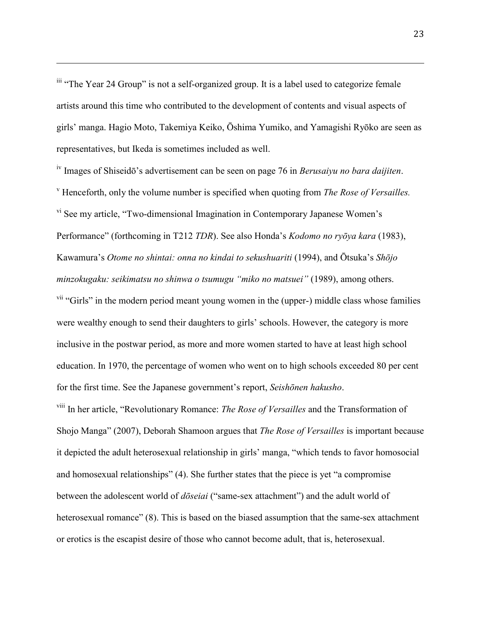<sup>iii</sup> "The Year 24 Group" is not a self-organized group. It is a label used to categorize female artists around this time who contributed to the development of contents and visual aspects of girls' manga. Hagio Moto, Takemiya Keiko, Ōshima Yumiko, and Yamagishi Ryōko are seen as representatives, but Ikeda is sometimes included as well.

 $\overline{a}$ 

iv Images of Shiseidō's advertisement can be seen on page 76 in *Berusaiyu no bara daijiten*. <sup>v</sup> Henceforth, only the volume number is specified when quoting from *The Rose of Versailles.* vi See my article, "Two-dimensional Imagination in Contemporary Japanese Women's Performance" (forthcoming in T212 *TDR*). See also Honda's *Kodomo no ryōya kara* (1983), Kawamura's *Otome no shintai: onna no kindai to sekushuariti* (1994), and Ōtsuka's *Shōjo minzokugaku: seikimatsu no shinwa o tsumugu "miko no matsuei"* (1989), among others. <sup>vii</sup> "Girls" in the modern period meant young women in the (upper-) middle class whose families were wealthy enough to send their daughters to girls' schools. However, the category is more inclusive in the postwar period, as more and more women started to have at least high school education. In 1970, the percentage of women who went on to high schools exceeded 80 per cent

for the first time. See the Japanese government's report, *Seishōnen hakusho*.

viii In her article, "Revolutionary Romance: *The Rose of Versailles* and the Transformation of Shojo Manga" (2007), Deborah Shamoon argues that *The Rose of Versailles* is important because it depicted the adult heterosexual relationship in girls' manga, "which tends to favor homosocial and homosexual relationships" (4). She further states that the piece is yet "a compromise between the adolescent world of *dōseiai* ("same-sex attachment") and the adult world of heterosexual romance" (8). This is based on the biased assumption that the same-sex attachment or erotics is the escapist desire of those who cannot become adult, that is, heterosexual.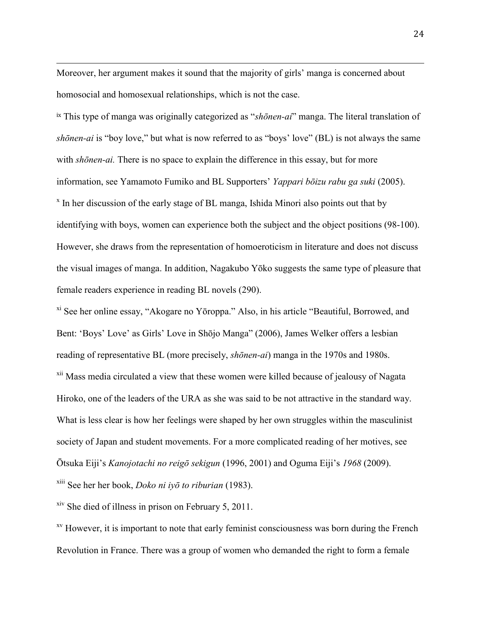Moreover, her argument makes it sound that the majority of girls' manga is concerned about homosocial and homosexual relationships, which is not the case.

 $\overline{a}$ 

ix This type of manga was originally categorized as "*shōnen-ai*" manga. The literal translation of *shōnen-ai* is "boy love," but what is now referred to as "boys' love" (BL) is not always the same with *shōnen-ai.* There is no space to explain the difference in this essay, but for more information, see Yamamoto Fumiko and BL Supporters' *Yappari bōizu rabu ga suki* (2005). <sup>x</sup> In her discussion of the early stage of BL manga, Ishida Minori also points out that by identifying with boys, women can experience both the subject and the object positions (98-100). However, she draws from the representation of homoeroticism in literature and does not discuss the visual images of manga. In addition, Nagakubo Yōko suggests the same type of pleasure that female readers experience in reading BL novels (290).

xi See her online essay, "Akogare no Yōroppa." Also, in his article "Beautiful, Borrowed, and Bent: 'Boys' Love' as Girls' Love in Shōjo Manga" (2006), James Welker offers a lesbian reading of representative BL (more precisely, *shōnen-ai*) manga in the 1970s and 1980s. <sup>xii</sup> Mass media circulated a view that these women were killed because of jealousy of Nagata Hiroko, one of the leaders of the URA as she was said to be not attractive in the standard way. What is less clear is how her feelings were shaped by her own struggles within the masculinist society of Japan and student movements. For a more complicated reading of her motives, see Ōtsuka Eiji's *Kanojotachi no reigō sekigun* (1996, 2001) and Oguma Eiji's *1968* (2009). xiii See her her book, *Doko ni iyō to riburian* (1983).

xiv She died of illness in prison on February 5, 2011.

<sup>xv</sup> However, it is important to note that early feminist consciousness was born during the French Revolution in France. There was a group of women who demanded the right to form a female